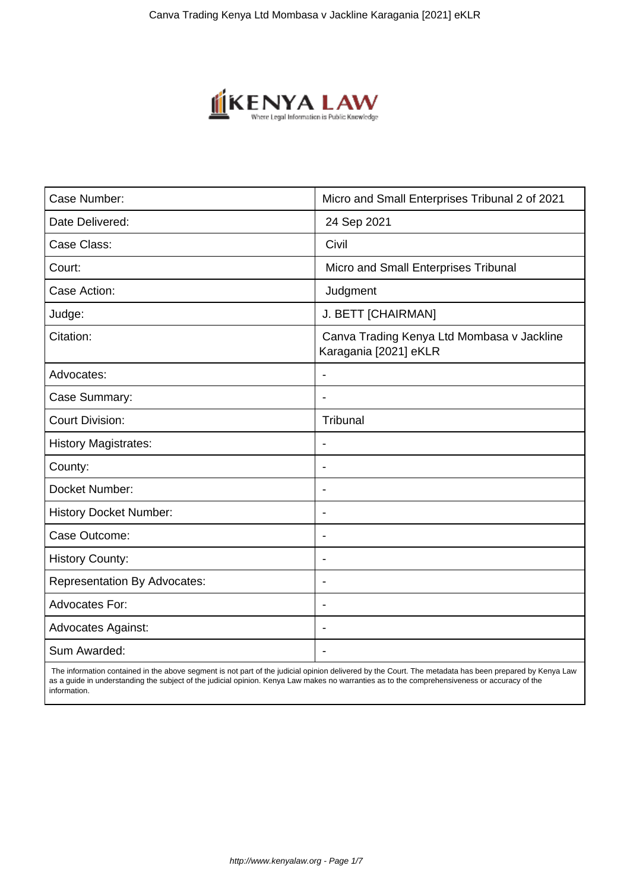

| Case Number:                        | Micro and Small Enterprises Tribunal 2 of 2021                      |
|-------------------------------------|---------------------------------------------------------------------|
| Date Delivered:                     | 24 Sep 2021                                                         |
| Case Class:                         | Civil                                                               |
| Court:                              | Micro and Small Enterprises Tribunal                                |
| Case Action:                        | Judgment                                                            |
| Judge:                              | J. BETT [CHAIRMAN]                                                  |
| Citation:                           | Canva Trading Kenya Ltd Mombasa v Jackline<br>Karagania [2021] eKLR |
| Advocates:                          | $\overline{a}$                                                      |
| Case Summary:                       | $\overline{\phantom{0}}$                                            |
| <b>Court Division:</b>              | Tribunal                                                            |
| <b>History Magistrates:</b>         | $\overline{\phantom{a}}$                                            |
| County:                             | $\overline{\phantom{0}}$                                            |
| Docket Number:                      | $\overline{\phantom{0}}$                                            |
| <b>History Docket Number:</b>       | $\overline{\phantom{a}}$                                            |
| Case Outcome:                       | $\blacksquare$                                                      |
| History County:                     | $\overline{\phantom{a}}$                                            |
| <b>Representation By Advocates:</b> | $\overline{\phantom{a}}$                                            |
| Advocates For:                      | $\overline{\phantom{0}}$                                            |
| <b>Advocates Against:</b>           | $\overline{\phantom{a}}$                                            |
| Sum Awarded:                        |                                                                     |

 The information contained in the above segment is not part of the judicial opinion delivered by the Court. The metadata has been prepared by Kenya Law as a guide in understanding the subject of the judicial opinion. Kenya Law makes no warranties as to the comprehensiveness or accuracy of the information.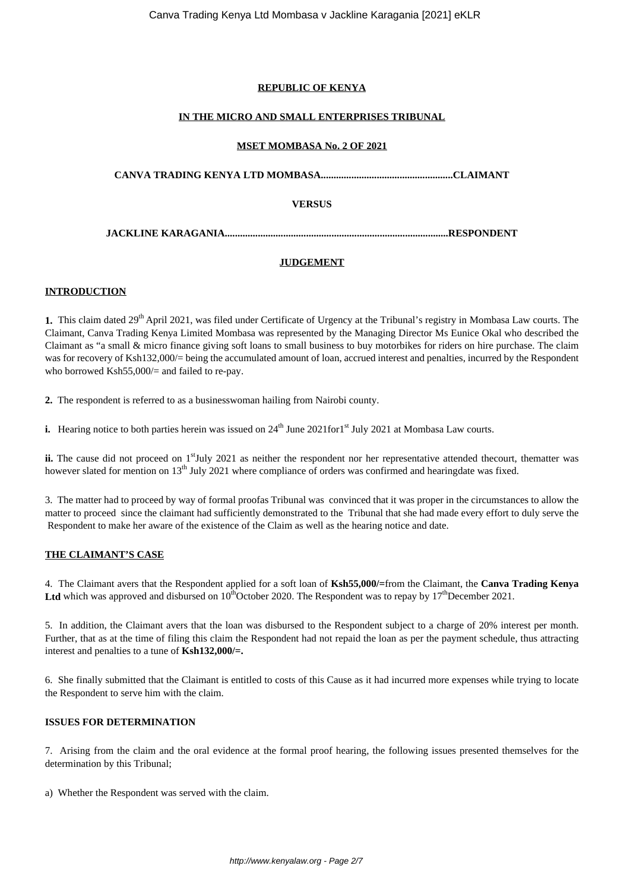## **REPUBLIC OF KENYA**

## **IN THE MICRO AND SMALL ENTERPRISES TRIBUNAL**

## **MSET MOMBASA No. 2 OF 2021**

**CANVA TRADING KENYA LTD MOMBASA....................................................CLAIMANT**

## **VERSUS**

**JACKLINE KARAGANIA........................................................................................RESPONDENT**

## **JUDGEMENT**

## **INTRODUCTION**

**1.** This claim dated 29<sup>th</sup> April 2021, was filed under Certificate of Urgency at the Tribunal's registry in Mombasa Law courts. The Claimant, Canva Trading Kenya Limited Mombasa was represented by the Managing Director Ms Eunice Okal who described the Claimant as "a small & micro finance giving soft loans to small business to buy motorbikes for riders on hire purchase. The claim was for recovery of Ksh132,000/= being the accumulated amount of loan, accrued interest and penalties, incurred by the Respondent who borrowed Ksh55,000/= and failed to re-pay.

**2.** The respondent is referred to as a businesswoman hailing from Nairobi county.

**i.** Hearing notice to both parties herein was issued on 24<sup>th</sup> June 2021for1<sup>st</sup> July 2021 at Mombasa Law courts.

ii. The cause did not proceed on 1<sup>st</sup>July 2021 as neither the respondent nor her representative attended thecourt, thematter was however slated for mention on 13<sup>th</sup> July 2021 where compliance of orders was confirmed and hearingdate was fixed.

3. The matter had to proceed by way of formal proofas Tribunal was convinced that it was proper in the circumstances to allow the matter to proceed since the claimant had sufficiently demonstrated to the Tribunal that she had made every effort to duly serve the Respondent to make her aware of the existence of the Claim as well as the hearing notice and date.

## **THE CLAIMANT'S CASE**

4. The Claimant avers that the Respondent applied for a soft loan of **Ksh55,000/=**from the Claimant, the **Canva Trading Kenya** Ltd which was approved and disbursed on  $10^{th}$ October 2020. The Respondent was to repay by  $17^{th}$ December 2021.

5. In addition, the Claimant avers that the loan was disbursed to the Respondent subject to a charge of 20% interest per month. Further, that as at the time of filing this claim the Respondent had not repaid the loan as per the payment schedule, thus attracting interest and penalties to a tune of **Ksh132,000/=.**

6. She finally submitted that the Claimant is entitled to costs of this Cause as it had incurred more expenses while trying to locate the Respondent to serve him with the claim.

## **ISSUES FOR DETERMINATION**

7. Arising from the claim and the oral evidence at the formal proof hearing, the following issues presented themselves for the determination by this Tribunal;

a) Whether the Respondent was served with the claim.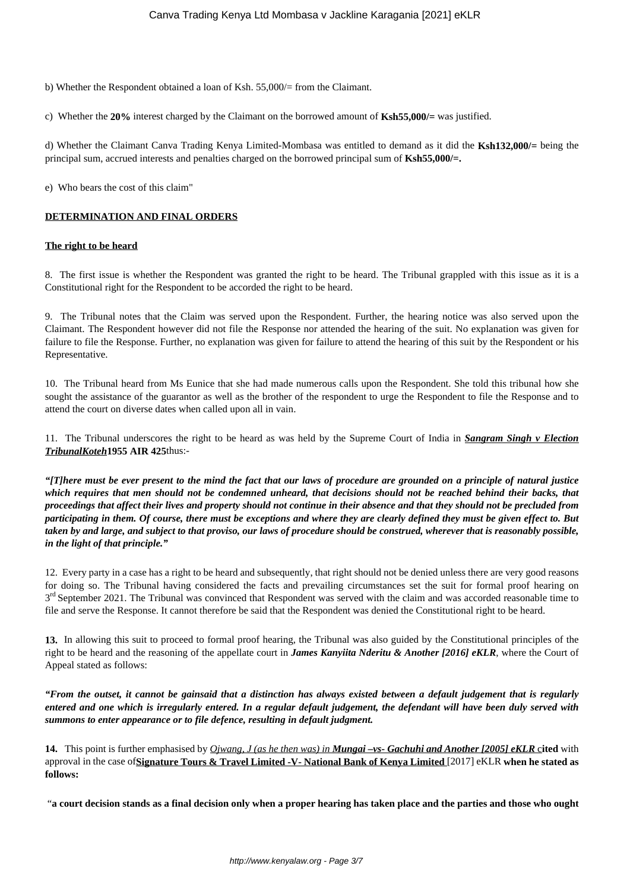b) Whether the Respondent obtained a loan of Ksh. 55,000/= from the Claimant.

c) Whether the **20%** interest charged by the Claimant on the borrowed amount of **Ksh55,000/=** was justified.

d) Whether the Claimant Canva Trading Kenya Limited-Mombasa was entitled to demand as it did the **Ksh132,000/=** being the principal sum, accrued interests and penalties charged on the borrowed principal sum of **Ksh55,000/=.**

e) Who bears the cost of this claim"

## **DETERMINATION AND FINAL ORDERS**

## **The right to be heard**

8. The first issue is whether the Respondent was granted the right to be heard. The Tribunal grappled with this issue as it is a Constitutional right for the Respondent to be accorded the right to be heard.

9. The Tribunal notes that the Claim was served upon the Respondent. Further, the hearing notice was also served upon the Claimant. The Respondent however did not file the Response nor attended the hearing of the suit. No explanation was given for failure to file the Response. Further, no explanation was given for failure to attend the hearing of this suit by the Respondent or his Representative.

10. The Tribunal heard from Ms Eunice that she had made numerous calls upon the Respondent. She told this tribunal how she sought the assistance of the guarantor as well as the brother of the respondent to urge the Respondent to file the Response and to attend the court on diverse dates when called upon all in vain.

11. The Tribunal underscores the right to be heard as was held by the Supreme Court of India in *Sangram Singh v Election TribunalKoteh***1955 AIR 425**thus:-

*"[T]here must be ever present to the mind the fact that our laws of procedure are grounded on a principle of natural justice which requires that men should not be condemned unheard, that decisions should not be reached behind their backs, that proceedings that affect their lives and property should not continue in their absence and that they should not be precluded from participating in them. Of course, there must be exceptions and where they are clearly defined they must be given effect to. But taken by and large, and subject to that proviso, our laws of procedure should be construed, wherever that is reasonably possible, in the light of that principle."*

12. Every party in a case has a right to be heard and subsequently, that right should not be denied unless there are very good reasons for doing so. The Tribunal having considered the facts and prevailing circumstances set the suit for formal proof hearing on 3<sup>rd</sup> September 2021. The Tribunal was convinced that Respondent was served with the claim and was accorded reasonable time to file and serve the Response. It cannot therefore be said that the Respondent was denied the Constitutional right to be heard.

**13.** In allowing this suit to proceed to formal proof hearing, the Tribunal was also guided by the Constitutional principles of the right to be heard and the reasoning of the appellate court in *James Kanyiita Nderitu & Another [2016] eKLR*, where the Court of Appeal stated as follows:

*"From the outset, it cannot be gainsaid that a distinction has always existed between a default judgement that is regularly entered and one which is irregularly entered. In a regular default judgement, the defendant will have been duly served with summons to enter appearance or to file defence, resulting in default judgment.*

**14.** This point is further emphasised by *Ojwang, J (as he then was) in Mungai –vs- Gachuhi and Another [2005] eKLR* c**ited** with approval in the case of**Signature Tours & Travel Limited -V- National Bank of Kenya Limited** [2017] eKLR **when he stated as follows:** 

"**a court decision stands as a final decision only when a proper hearing has taken place and the parties and those who ought**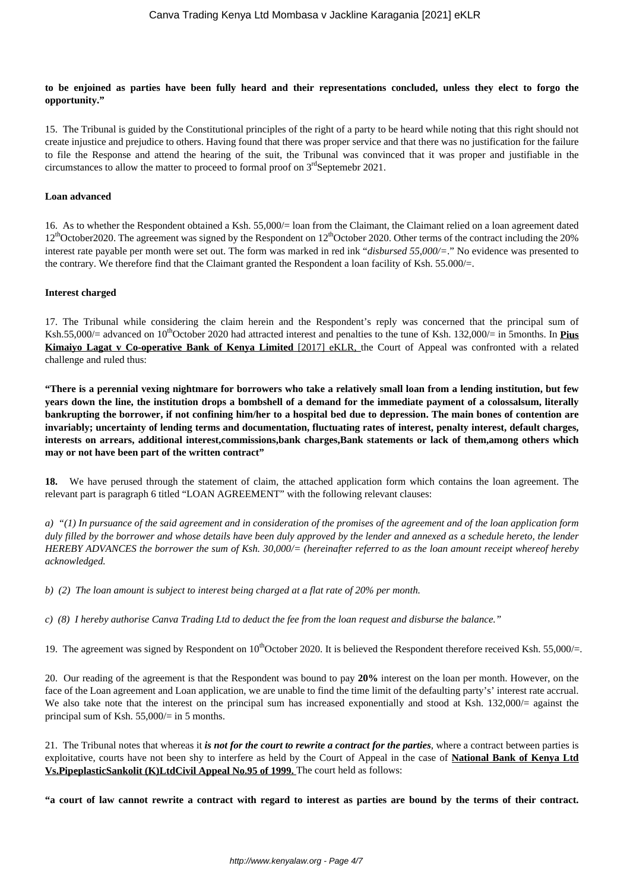**to be enjoined as parties have been fully heard and their representations concluded, unless they elect to forgo the opportunity."**

15. The Tribunal is guided by the Constitutional principles of the right of a party to be heard while noting that this right should not create injustice and prejudice to others. Having found that there was proper service and that there was no justification for the failure to file the Response and attend the hearing of the suit, the Tribunal was convinced that it was proper and justifiable in the circumstances to allow the matter to proceed to formal proof on  $3<sup>rd</sup>$ Septemebr 2021.

#### **Loan advanced**

16. As to whether the Respondent obtained a Ksh. 55,000/= loan from the Claimant, the Claimant relied on a loan agreement dated 12<sup>th</sup>October2020. The agreement was signed by the Respondent on 12<sup>th</sup>October 2020. Other terms of the contract including the 20% interest rate payable per month were set out. The form was marked in red ink "*disbursed 55,000/=*." No evidence was presented to the contrary. We therefore find that the Claimant granted the Respondent a loan facility of Ksh. 55.000/ $=$ .

#### **Interest charged**

17. The Tribunal while considering the claim herein and the Respondent's reply was concerned that the principal sum of Ksh.55,000/= advanced on 10<sup>th</sup>October 2020 had attracted interest and penalties to the tune of Ksh. 132,000/= in 5months. In **Pius Kimaiyo Lagat v Co-operative Bank of Kenya Limited** [2017] eKLR, the Court of Appeal was confronted with a related challenge and ruled thus:

**"There is a perennial vexing nightmare for borrowers who take a relatively small loan from a lending institution, but few years down the line, the institution drops a bombshell of a demand for the immediate payment of a colossalsum, literally bankrupting the borrower, if not confining him/her to a hospital bed due to depression. The main bones of contention are invariably; uncertainty of lending terms and documentation, fluctuating rates of interest, penalty interest, default charges, interests on arrears, additional interest,commissions,bank charges,Bank statements or lack of them,among others which may or not have been part of the written contract"**

**18.** We have perused through the statement of claim, the attached application form which contains the loan agreement. The relevant part is paragraph 6 titled "LOAN AGREEMENT" with the following relevant clauses:

*a) "(1) In pursuance of the said agreement and in consideration of the promises of the agreement and of the loan application form duly filled by the borrower and whose details have been duly approved by the lender and annexed as a schedule hereto, the lender HEREBY ADVANCES the borrower the sum of Ksh. 30,000/= (hereinafter referred to as the loan amount receipt whereof hereby acknowledged.*

*b) (2) The loan amount is subject to interest being charged at a flat rate of 20% per month.* 

*c) (8) I hereby authorise Canva Trading Ltd to deduct the fee from the loan request and disburse the balance."* 

19. The agreement was signed by Respondent on  $10^{th}$ October 2020. It is believed the Respondent therefore received Ksh. 55,000/=.

20. Our reading of the agreement is that the Respondent was bound to pay **20%** interest on the loan per month. However, on the face of the Loan agreement and Loan application, we are unable to find the time limit of the defaulting party's' interest rate accrual. We also take note that the interest on the principal sum has increased exponentially and stood at Ksh. 132,000/ $=$  against the principal sum of Ksh. 55,000/= in 5 months.

21. The Tribunal notes that whereas it *is not for the court to rewrite a contract for the parties*, where a contract between parties is exploitative, courts have not been shy to interfere as held by the Court of Appeal in the case of **National Bank of Kenya Ltd Vs.PipeplasticSankolit (K)LtdCivil Appeal No.95 of 1999.** The court held as follows:

**"a court of law cannot rewrite a contract with regard to interest as parties are bound by the terms of their contract.**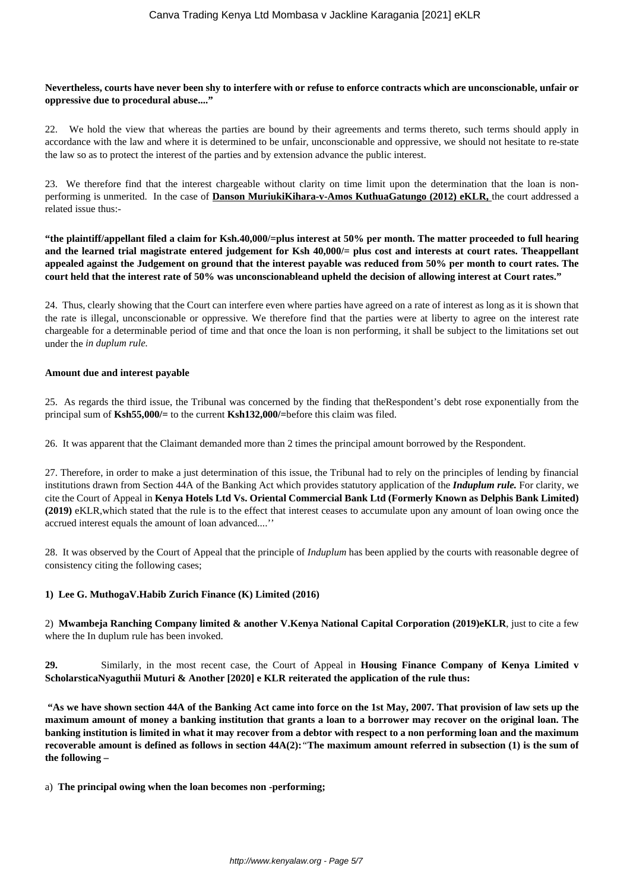#### **Nevertheless, courts have never been shy to interfere with or refuse to enforce contracts which are unconscionable, unfair or oppressive due to procedural abuse...."**

22. We hold the view that whereas the parties are bound by their agreements and terms thereto, such terms should apply in accordance with the law and where it is determined to be unfair, unconscionable and oppressive, we should not hesitate to re-state the law so as to protect the interest of the parties and by extension advance the public interest.

23. We therefore find that the interest chargeable without clarity on time limit upon the determination that the loan is nonperforming is unmerited. In the case of **Danson MuriukiKihara-v-Amos KuthuaGatungo (2012) eKLR,** the court addressed a related issue thus:-

**"the plaintiff/appellant filed a claim for Ksh.40,000/=plus interest at 50% per month. The matter proceeded to full hearing and the learned trial magistrate entered judgement for Ksh 40,000/= plus cost and interests at court rates. Theappellant appealed against the Judgement on ground that the interest payable was reduced from 50% per month to court rates. The court held that the interest rate of 50% was unconscionableand upheld the decision of allowing interest at Court rates."**

24. Thus, clearly showing that the Court can interfere even where parties have agreed on a rate of interest as long as it is shown that the rate is illegal, unconscionable or oppressive. We therefore find that the parties were at liberty to agree on the interest rate chargeable for a determinable period of time and that once the loan is non performing, it shall be subject to the limitations set out under the *in duplum rule.* 

#### **Amount due and interest payable**

25. As regards the third issue, the Tribunal was concerned by the finding that theRespondent's debt rose exponentially from the principal sum of **Ksh55,000/=** to the current **Ksh132,000/=**before this claim was filed.

26. It was apparent that the Claimant demanded more than 2 times the principal amount borrowed by the Respondent.

27. Therefore, in order to make a just determination of this issue, the Tribunal had to rely on the principles of lending by financial institutions drawn from Section 44A of the Banking Act which provides statutory application of the *Induplum rule.* For clarity, we cite the Court of Appeal in **Kenya Hotels Ltd Vs. Oriental Commercial Bank Ltd (Formerly Known as Delphis Bank Limited) (2019)** eKLR,which stated that the rule is to the effect that interest ceases to accumulate upon any amount of loan owing once the accrued interest equals the amount of loan advanced....''

28. It was observed by the Court of Appeal that the principle of *Induplum* has been applied by the courts with reasonable degree of consistency citing the following cases;

## **1) Lee G. MuthogaV.Habib Zurich Finance (K) Limited (2016)**

2) **Mwambeja Ranching Company limited & another V.Kenya National Capital Corporation (2019)eKLR**, just to cite a few where the In duplum rule has been invoked.

**29.** Similarly, in the most recent case, the Court of Appeal in **Housing Finance Company of Kenya Limited v ScholarsticaNyaguthii Muturi & Another [2020] e KLR reiterated the application of the rule thus:** 

**"As we have shown section 44A of the Banking Act came into force on the 1st May, 2007. That provision of law sets up the maximum amount of money a banking institution that grants a loan to a borrower may recover on the original loan. The banking institution is limited in what it may recover from a debtor with respect to a non performing loan and the maximum recoverable amount is defined as follows in section 44A(2):***"***The maximum amount referred in subsection (1) is the sum of the following –**

a) **The principal owing when the loan becomes non -performing;**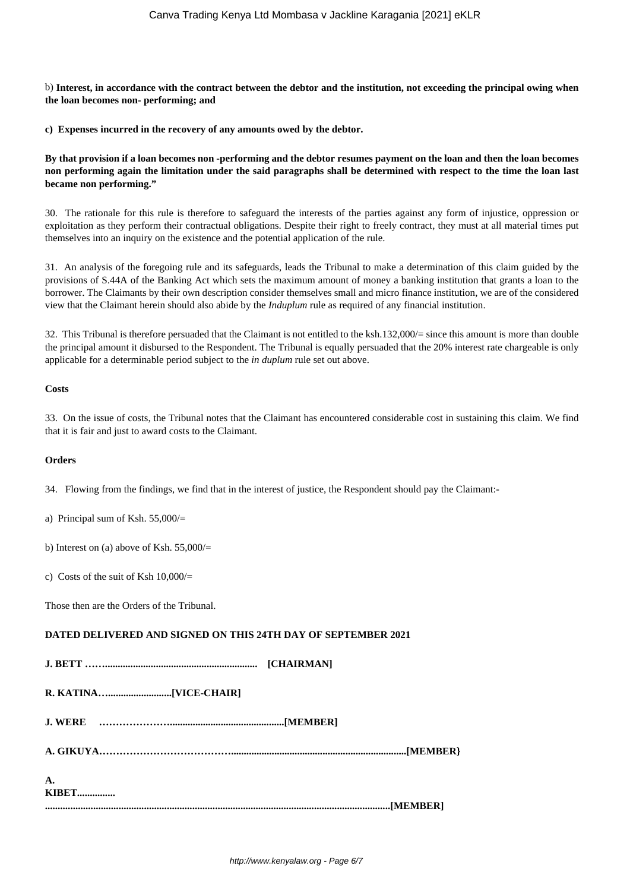b) **Interest, in accordance with the contract between the debtor and the institution, not exceeding the principal owing when the loan becomes non- performing; and**

**c) Expenses incurred in the recovery of any amounts owed by the debtor.**

**By that provision if a loan becomes non -performing and the debtor resumes payment on the loan and then the loan becomes non performing again the limitation under the said paragraphs shall be determined with respect to the time the loan last became non performing."**

30. The rationale for this rule is therefore to safeguard the interests of the parties against any form of injustice, oppression or exploitation as they perform their contractual obligations. Despite their right to freely contract, they must at all material times put themselves into an inquiry on the existence and the potential application of the rule.

31. An analysis of the foregoing rule and its safeguards, leads the Tribunal to make a determination of this claim guided by the provisions of S.44A of the Banking Act which sets the maximum amount of money a banking institution that grants a loan to the borrower. The Claimants by their own description consider themselves small and micro finance institution, we are of the considered view that the Claimant herein should also abide by the *Induplum* rule as required of any financial institution.

32. This Tribunal is therefore persuaded that the Claimant is not entitled to the ksh.132,000/= since this amount is more than double the principal amount it disbursed to the Respondent. The Tribunal is equally persuaded that the 20% interest rate chargeable is only applicable for a determinable period subject to the *in duplum* rule set out above.

### **Costs**

33. On the issue of costs, the Tribunal notes that the Claimant has encountered considerable cost in sustaining this claim. We find that it is fair and just to award costs to the Claimant.

#### **Orders**

34. Flowing from the findings, we find that in the interest of justice, the Respondent should pay the Claimant:-

a) Principal sum of Ksh. 55,000/=

b) Interest on (a) above of Ksh. 55,000/=

c) Costs of the suit of Ksh  $10,000/$ 

Those then are the Orders of the Tribunal.

## **DATED DELIVERED AND SIGNED ON THIS 24TH DAY OF SEPTEMBER 2021**